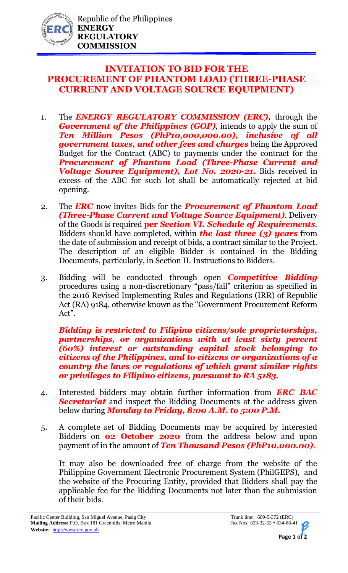

## **INVITATION TO BID FOR THE PROCUREMENT OF PHANTOM LOAD (THREE-PHASE CURRENT AND VOLTAGE SOURCE EQUIPMENT)**

- 1. The *ENERGY REGULATORY COMMISSION (ERC),* through the *Government of the Philippines (GOP),* intends to apply the sum of *Ten Million Pesos (PhP10,000,000.00), inclusive of all government taxes, and other fees and charges* being the Approved Budget for the Contract (ABC) to payments under the contract for the *Procurement of Phantom Load (Three-Phase Current and Voltage Source Equipment), Lot No. 2020-21.* Bids received in excess of the ABC for such lot shall be automatically rejected at bid opening.
- 2. The *ERC* now invites Bids for the *Procurement of Phantom Load (Three-Phase Current and Voltage Source Equipment)*. Delivery of the Goods is required **per** *Section VI. Schedule of Requirements.* Bidders should have completed, within *the last three (3) years* from the date of submission and receipt of bids, a contract similar to the Project. The description of an eligible Bidder is contained in the Bidding Documents, particularly, in Section II. Instructions to Bidders.
- 3. Bidding will be conducted through open *Competitive Bidding* procedures using a non-discretionary "pass/fail" criterion as specified in the 2016 Revised Implementing Rules and Regulations (IRR) of Republic Act (RA) 9184, otherwise known as the "Government Procurement Reform Act".

*Bidding is restricted to Filipino citizens/sole proprietorships, partnerships, or organizations with at least sixty percent (60%) interest or outstanding capital stock belonging to citizens of the Philippines, and to citizens or organizations of a country the laws or regulations of which grant similar rights or privileges to Filipino citizens, pursuant to RA 5183.* 

- 4. Interested bidders may obtain further information from *ERC BAC Secretariat* and inspect the Bidding Documents at the address given below during *Monday to Friday, 8:00 A.M. to 5:00 P.M.*
- 5. A complete set of Bidding Documents may be acquired by interested Bidders on **02 October 2020** from the address below and upon payment of in the amount of *Ten Thousand Pesos (PhP10,000.00).*

It may also be downloaded free of charge from the website of the Philippine Government Electronic Procurement System (PhilGEPS), and the website of the Procuring Entity, provided that Bidders shall pay the applicable fee for the Bidding Documents not later than the submission of their bids.